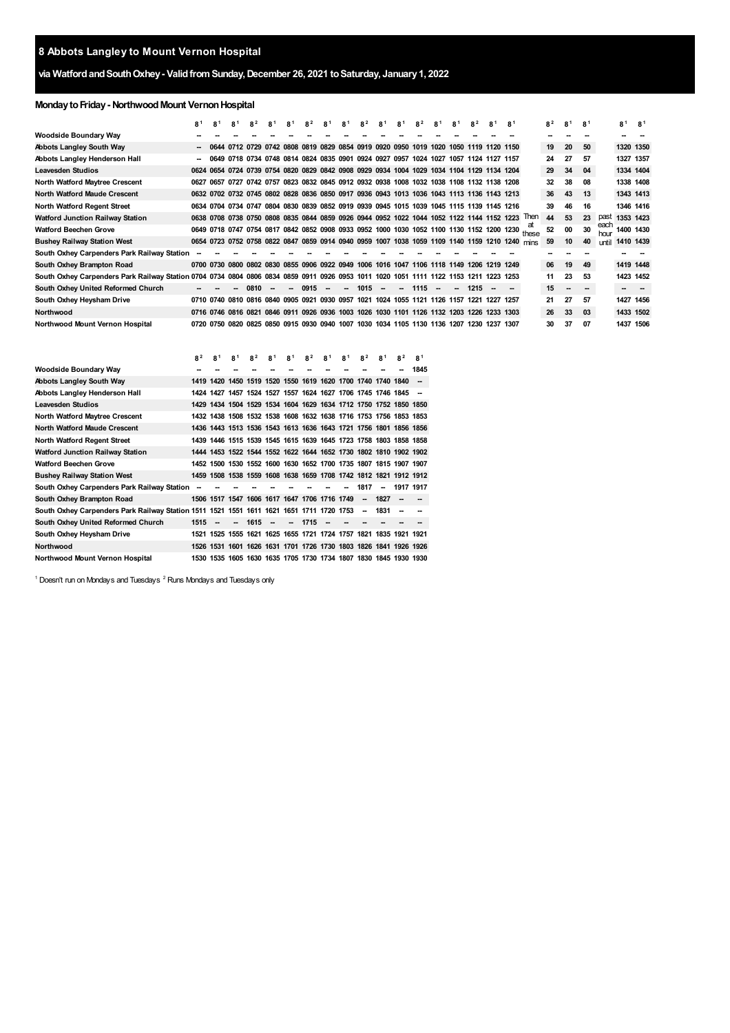## **Abbots Langley to Mount Vernon Hospital**

## **via WatfordandSouthOxhey- ValidfromSunday,December 26, 2021 toSaturday, January1, 2022**

## **MondaytoFriday- NorthwoodMount VernonHospital**

|                                                                                                                                       | 81   | 81             | 81                  | 82   | 8 <sup>1</sup> | 8 <sup>1</sup> | 82                                                                                             | 81                       | 81 | 82      | 81     | 81 | 82      | 8 <sup>1</sup> | 8 <sup>1</sup>           | 82             | 8 <sup>1</sup> | 8 <sup>1</sup> |                                                                                                 | 82 | 81               | <b>81</b> |              | 8 <sup>1</sup> | R <sup>1</sup> |
|---------------------------------------------------------------------------------------------------------------------------------------|------|----------------|---------------------|------|----------------|----------------|------------------------------------------------------------------------------------------------|--------------------------|----|---------|--------|----|---------|----------------|--------------------------|----------------|----------------|----------------|-------------------------------------------------------------------------------------------------|----|------------------|-----------|--------------|----------------|----------------|
| Woodside Boundary Way                                                                                                                 |      |                |                     |      |                |                |                                                                                                |                          |    |         |        |    |         |                |                          |                |                |                |                                                                                                 |    |                  |           |              |                |                |
| Abbots Langley South Way                                                                                                              |      |                |                     |      |                |                | 0644 0712 0729 0742 0808 0819 0829 0854 0919 0920 0950 1019 1020 1050 1119 1120 1150           |                          |    |         |        |    |         |                |                          |                |                |                |                                                                                                 | 19 | 20               | 50        |              | 1320 1350      |                |
| Abbots Langley Henderson Hall                                                                                                         |      |                |                     |      |                |                | 0649 0718 0734 0748 0814 0824 0835 0901 0924 0927 0957 1024 1027 1057 1124 1127 1157           |                          |    |         |        |    |         |                |                          |                |                |                |                                                                                                 | 24 | 27               | 57        |              | 1327 1357      |                |
| <b>Leavesden Studios</b>                                                                                                              |      |                |                     |      |                |                | 0624 0654 0724 0739 0754 0820 0829 0842 0908 0929 0934 1004 1029 1034 1104 1129 1134 1204      |                          |    |         |        |    |         |                |                          |                |                |                |                                                                                                 | 29 | 34               | 04        |              | 1334 1404      |                |
| North Watford Maytree Crescent                                                                                                        | 0627 | 0657           |                     |      |                |                | 0727 0742 0757 0823 0832 0845 0912 0932 0938 1008 1032 1038 1108 1132 1138 1208                |                          |    |         |        |    |         |                |                          |                |                |                |                                                                                                 | 32 | 38               | 08        |              | 1338 1408      |                |
| <b>North Watford Maude Crescent</b>                                                                                                   |      |                |                     |      |                |                | 0632 0702 0732 0745 0802 0828 0836 0850 0917 0936 0943 1013 1036 1043 1113 1136 1143 1213      |                          |    |         |        |    |         |                |                          |                |                |                |                                                                                                 | 36 | 43               | 13        |              | 1343 1413      |                |
| North Watford Regent Street                                                                                                           |      |                |                     |      |                |                | 0634 0704 0734 0747 0804 0830 0839 0852 0919 0939 0945 1015 1039 1045 1115 1139 1145 1216      |                          |    |         |        |    |         |                |                          |                |                |                |                                                                                                 | 39 | 46               | 16        |              | 1346 1416      |                |
| Watford Junction Railway Station                                                                                                      |      |                |                     |      |                |                | 0638 0708 0738 0750 0808 0835 0844 0859 0926 0944 0952 1022 1044 1052 1122 1144 1152 1223      |                          |    |         |        |    |         |                |                          |                |                |                | Then                                                                                            | 44 | 53               | 23        | past         | 1353 1423      |                |
| <b>Watford Beechen Grove</b>                                                                                                          |      |                |                     |      |                |                |                                                                                                |                          |    |         |        |    |         |                |                          |                |                |                | 0649 0718 0747 0754 0817 0842 0852 0908 0933 0952 1000 1030 1052 1100 1130 1152 1200 1230 these | 52 | 00               | 30        | each<br>hour | 1400 1430      |                |
| <b>Bushey Railway Station West</b>                                                                                                    |      |                |                     |      |                |                | 0654 0723 0752 0758 0822 0847 0859 0914 0940 0959 1007 1038 1059 1109 1140 1159 1210 1240 mins |                          |    |         |        |    |         |                |                          |                |                |                |                                                                                                 | 59 | 10 <sup>10</sup> | 40        | until        | 1410 1439      |                |
| South Oxhey Carpenders Park Railway Station                                                                                           |      |                |                     |      |                |                |                                                                                                |                          |    |         |        |    |         |                |                          |                |                |                |                                                                                                 |    |                  |           |              |                |                |
| South Oxhey Brampton Road                                                                                                             |      |                |                     |      |                |                | 0700 0730 0800 0802 0830 0855 0906 0922 0949 1006 1016 1047 1106 1118 1149 1206 1219 1249      |                          |    |         |        |    |         |                |                          |                |                |                |                                                                                                 | 06 | 19               | 49        |              | 1419 1448      |                |
| South Oxhey Carpenders Park Railway Station 0704 0734 0804 0806 0834 0859 0911 0926 0953 1011 1020 1051 1111 1122 1153 1211 1223 1253 |      |                |                     |      |                |                |                                                                                                |                          |    |         |        |    |         |                |                          |                |                |                |                                                                                                 | 11 | 23               | 53        |              | 1423 1452      |                |
| South Oxhey United Reformed Church                                                                                                    |      |                |                     | 0810 |                | $\sim$         | 0915                                                                                           | $\overline{\phantom{a}}$ |    | $-1015$ | $\sim$ |    | $-1115$ |                | $\overline{\phantom{a}}$ | 1215           |                |                |                                                                                                 | 15 | $\sim$           |           |              |                |                |
| South Oxhey Heysham Drive                                                                                                             |      |                |                     |      |                |                | 0710 0740 0810 0816 0840 0905 0921 0930 0957 1021 1024 1055 1121 1126 1157 1221                |                          |    |         |        |    |         |                |                          |                | 1227 1257      |                |                                                                                                 | 21 | 27               | -57       |              | 1427 1456      |                |
| <b>Northwood</b>                                                                                                                      |      |                | 0716 0746 0816 0821 |      |                |                | 0846 0911 0926 0936 1003 1026 1030 1101 1126 1132 1203 1226 1233 1303                          |                          |    |         |        |    |         |                |                          |                |                |                |                                                                                                 | 26 | 33               | 03        |              | 1433 1502      |                |
| Northwood Mount Vernon Hospital                                                                                                       |      | 0720 0750 0820 |                     |      |                |                | 0825 0850 0915 0930 0940 1007 1030 1034 1105 1130 1136 1207                                    |                          |    |         |        |    |         |                |                          | 1230 1237 1307 |                |                |                                                                                                 | 30 | 37               | 07        |              | 1437 1506      |                |

|                                                                                          | 8 <sup>2</sup> | 8 <sup>1</sup>                               | R <sup>1</sup>           | 8 <sup>2</sup> | 8 <sup>1</sup> | 8 <sup>1</sup> | 8 <sup>2</sup> | 8 <sup>1</sup> | 8 <sup>1</sup>                                                   | 8 <sup>2</sup>           | R <sup>1</sup>           | 8 <sup>2</sup> | R <sup>1</sup> |
|------------------------------------------------------------------------------------------|----------------|----------------------------------------------|--------------------------|----------------|----------------|----------------|----------------|----------------|------------------------------------------------------------------|--------------------------|--------------------------|----------------|----------------|
| Woodside Boundary Way                                                                    |                |                                              |                          |                |                |                |                |                |                                                                  |                          |                          |                | 1845           |
| Abbots Langley South Way                                                                 |                |                                              |                          |                |                |                |                |                | 1419 1420 1450 1519 1520 1550 1619 1620 1700 1740 1740 1840      |                          |                          |                |                |
| Abbots Langley Henderson Hall                                                            |                |                                              |                          |                |                |                |                |                | 1424 1427 1457 1524 1527 1557 1624 1627 1706 1745 1746 1845      |                          |                          |                |                |
| <b>Leavesden Studios</b>                                                                 |                |                                              |                          |                |                |                |                |                | 1429 1434 1504 1529 1534 1604 1629 1634 1712 1750 1752 1850 1850 |                          |                          |                |                |
| North Watford Maytree Crescent                                                           |                |                                              |                          |                |                |                |                |                | 1432 1438 1508 1532 1538 1608 1632 1638 1716 1753 1756 1853 1853 |                          |                          |                |                |
| <b>North Watford Maude Crescent</b>                                                      |                |                                              |                          |                |                |                |                |                | 1436 1443 1513 1536 1543 1613 1636 1643 1721 1756 1801 1856 1856 |                          |                          |                |                |
| North Watford Regent Street                                                              |                |                                              |                          |                |                |                |                |                | 1439 1446 1515 1539 1545 1615 1639 1645 1723 1758 1803 1858 1858 |                          |                          |                |                |
| Watford Junction Railway Station                                                         |                |                                              |                          |                |                |                |                |                | 1444 1453 1522 1544 1552 1622 1644 1652 1730 1802 1810 1902 1902 |                          |                          |                |                |
| Watford Beechen Grove                                                                    |                |                                              |                          |                |                |                |                |                | 1452 1500 1530 1552 1600 1630 1652 1700 1735 1807 1815 1907 1907 |                          |                          |                |                |
| <b>Bushey Railway Station West</b>                                                       |                |                                              |                          |                |                |                |                |                | 1459 1508 1538 1559 1608 1638 1659 1708 1742 1812 1821 1912 1912 |                          |                          |                |                |
| South Oxhey Carpenders Park Railway Station                                              |                |                                              |                          |                |                |                |                |                |                                                                  | 1817                     | $\overline{\phantom{a}}$ | 1917 1917      |                |
| South Oxhey Brampton Road                                                                |                | 1506 1517 1547 1606 1617 1647 1706 1716 1749 |                          |                |                |                |                |                |                                                                  | $\overline{\phantom{a}}$ | 1827                     |                |                |
| South Oxhey Carpenders Park Railway Station 1511 1521 1551 1611 1621 1651 1711 1720 1753 |                |                                              |                          |                |                |                |                |                |                                                                  | $\overline{\phantom{a}}$ | 1831                     |                |                |
| South Oxhey United Reformed Church                                                       | 1515           |                                              | $\overline{\phantom{a}}$ | 1615           |                | --             | 1715           |                |                                                                  |                          |                          |                |                |
| South Oxhey Heysham Drive                                                                |                |                                              |                          |                |                |                |                |                | 1521 1525 1555 1621 1625 1655 1721 1724 1757 1821 1835 1921 1921 |                          |                          |                |                |
| Northwood                                                                                |                |                                              |                          |                |                |                |                |                | 1526 1531 1601 1626 1631 1701 1726 1730 1803 1826 1841 1926 1926 |                          |                          |                |                |
| Northwood Mount Vernon Hospital                                                          |                |                                              |                          |                |                |                |                |                | 1530 1535 1605 1630 1635 1705 1730 1734 1807 1830 1845 1930 1930 |                          |                          |                |                |

<span id="page-0-1"></span><span id="page-0-0"></span>Doesn't run on Mondays and Tuesdays  $2$  Runs Mondays and Tuesdays only